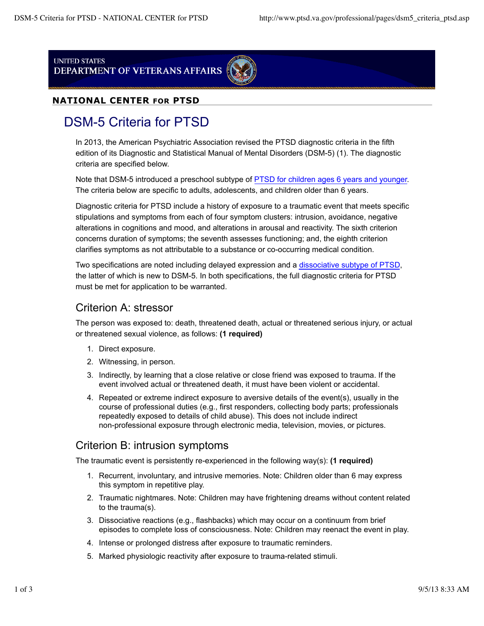**UNITED STATES** DEPARTMENT OF VETERANS AFFAIRS



#### **NATIONAL CENTER FOR PTSD**

# DSM-5 Criteria for PTSD

In 2013, the American Psychiatric Association revised the PTSD diagnostic criteria in the fifth edition of its Diagnostic and Statistical Manual of Mental Disorders (DSM-5) (1). The diagnostic criteria are specified below.

Note that DSM-5 introduced a preschool subtype of PTSD for children ages 6 years and younger. The criteria below are specific to adults, adolescents, and children older than 6 years.

Diagnostic criteria for PTSD include a history of exposure to a traumatic event that meets specific stipulations and symptoms from each of four symptom clusters: intrusion, avoidance, negative alterations in cognitions and mood, and alterations in arousal and reactivity. The sixth criterion concerns duration of symptoms; the seventh assesses functioning; and, the eighth criterion clarifies symptoms as not attributable to a substance or co-occurring medical condition.

Two specifications are noted including delayed expression and a dissociative subtype of PTSD, the latter of which is new to DSM-5. In both specifications, the full diagnostic criteria for PTSD must be met for application to be warranted.

## Criterion A: stressor

The person was exposed to: death, threatened death, actual or threatened serious injury, or actual or threatened sexual violence, as follows: **(1 required)**

- 1. Direct exposure.
- 2. Witnessing, in person.
- 3. Indirectly, by learning that a close relative or close friend was exposed to trauma. If the event involved actual or threatened death, it must have been violent or accidental.
- 4. Repeated or extreme indirect exposure to aversive details of the event(s), usually in the course of professional duties (e.g., first responders, collecting body parts; professionals repeatedly exposed to details of child abuse). This does not include indirect non-professional exposure through electronic media, television, movies, or pictures.

#### Criterion B: intrusion symptoms

The traumatic event is persistently re-experienced in the following way(s): **(1 required)**

- 1. Recurrent, involuntary, and intrusive memories. Note: Children older than 6 may express this symptom in repetitive play.
- 2. Traumatic nightmares. Note: Children may have frightening dreams without content related to the trauma(s).
- 3. Dissociative reactions (e.g., flashbacks) which may occur on a continuum from brief episodes to complete loss of consciousness. Note: Children may reenact the event in play.
- 4. Intense or prolonged distress after exposure to traumatic reminders.
- 5. Marked physiologic reactivity after exposure to trauma-related stimuli.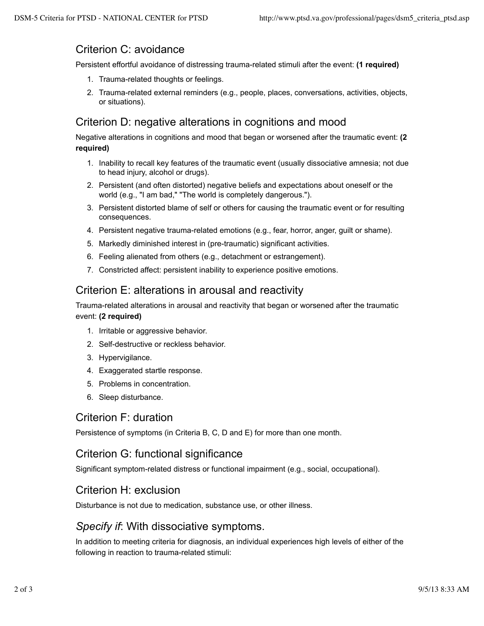## Criterion C: avoidance

Persistent effortful avoidance of distressing trauma-related stimuli after the event: **(1 required)**

- 1. Trauma-related thoughts or feelings.
- 2. Trauma-related external reminders (e.g., people, places, conversations, activities, objects, or situations).

## Criterion D: negative alterations in cognitions and mood

Negative alterations in cognitions and mood that began or worsened after the traumatic event: **(2 required)**

- 1. Inability to recall key features of the traumatic event (usually dissociative amnesia; not due to head injury, alcohol or drugs).
- 2. Persistent (and often distorted) negative beliefs and expectations about oneself or the world (e.g., "I am bad," "The world is completely dangerous.").
- 3. Persistent distorted blame of self or others for causing the traumatic event or for resulting consequences.
- 4. Persistent negative trauma-related emotions (e.g., fear, horror, anger, guilt or shame).
- 5. Markedly diminished interest in (pre-traumatic) significant activities.
- 6. Feeling alienated from others (e.g., detachment or estrangement).
- 7. Constricted affect: persistent inability to experience positive emotions.

# Criterion E: alterations in arousal and reactivity

Trauma-related alterations in arousal and reactivity that began or worsened after the traumatic event: **(2 required)**

- 1. Irritable or aggressive behavior.
- 2. Self-destructive or reckless behavior.
- 3. Hypervigilance.
- 4. Exaggerated startle response.
- 5. Problems in concentration.
- 6. Sleep disturbance.

#### Criterion F: duration

Persistence of symptoms (in Criteria B, C, D and E) for more than one month.

#### Criterion G: functional significance

Significant symptom-related distress or functional impairment (e.g., social, occupational).

#### Criterion H: exclusion

Disturbance is not due to medication, substance use, or other illness.

#### *Specify if*: With dissociative symptoms.

In addition to meeting criteria for diagnosis, an individual experiences high levels of either of the following in reaction to trauma-related stimuli: